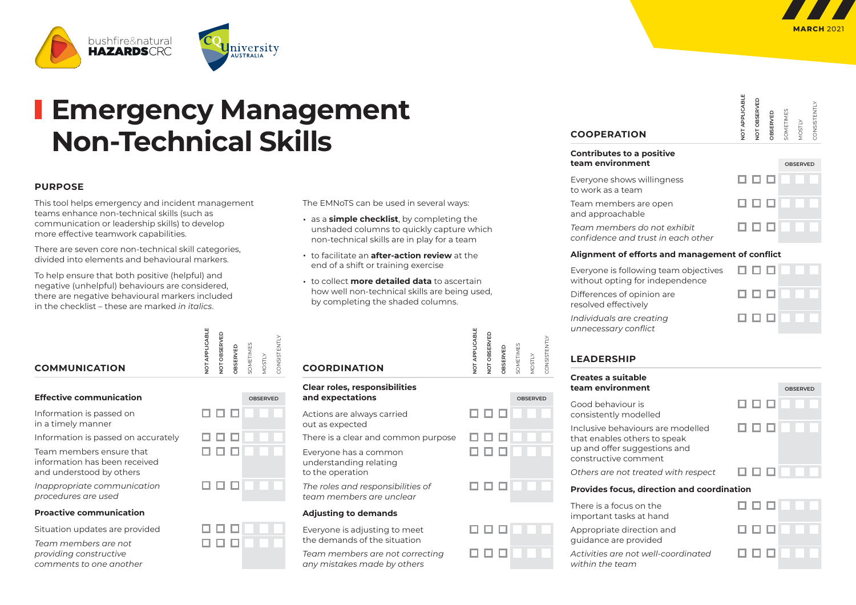

CONSISTENTLY

**STENTIV** 



# **Emergency Management Non‑Technical Skills**

#### **PURPOSE**

This tool helps emergency and incident management teams enhance non-technical skills (such as communication or leadership skills) to develop more effective teamwork capabilities.

There are seven core non-technical skill categories, divided into elements and behavioural markers.

To help ensure that both positive (helpful) and negative (unhelpful) behaviours are considered, there are negative behavioural markers included in the checklist – these are marked *in italics*.

| <b>COMMUNICATION</b> | ш | ⋒ | U. |  |
|----------------------|---|---|----|--|
|                      |   |   |    |  |

| <b>Effective communication</b> | OBSERVED |
|--------------------------------|----------|
|--------------------------------|----------|

Information is passed on

in a timely manner

Information is passed on accurately

Team members ensure that information has been received and understood by others

*Inappropriate communication procedures are used* 

#### **Proactive communication**

Situation updates are provided

*Team members are not providing constructive comments to one another*

| NOT APPLICAE | NOT OBSERVE | OBSERVED | SOMETIMES | <b>MOSTLY</b>   | CONSISTENTLY |  |
|--------------|-------------|----------|-----------|-----------------|--------------|--|
|              |             |          |           | <b>OBSERVED</b> |              |  |
|              |             |          | . I       |                 |              |  |
|              |             |          |           |                 |              |  |
|              |             |          |           |                 |              |  |
|              |             |          |           |                 |              |  |

000000

# 888888 888888

*Team members are not correcting any mistakes made by others*

the demands of the situation

| The EMNoTS can be used in several ways: |  |  |
|-----------------------------------------|--|--|
|-----------------------------------------|--|--|

- as a **simple checklist**, by completing the unshaded columns to quickly capture which non-technical skills are in play for a team
- to facilitate an **after-action review** at the end of a shift or training exercise
- to collect **more detailed data** to ascertain how well non-technical skills are being used, by completing the shaded columns.

| NOT APPLICABLE | NOT OBSERVED | OBSERVED |
|----------------|--------------|----------|
|                |              |          |

## **COORDINATION**

| <b>Clear roles, responsibilities</b>                                |                 |
|---------------------------------------------------------------------|-----------------|
| and expectations                                                    | <b>OBSERVED</b> |
| Actions are always carried<br>out as expected                       |                 |
| There is a clear and common purpose                                 |                 |
| Everyone has a common<br>understanding relating<br>to the operation |                 |
| The roles and responsibilities of<br>team members are unclear       |                 |
| <b>Adjusting to demands</b>                                         |                 |
| Everyone is adjusting to meet                                       |                 |

|  |  | 000000 |  |
|--|--|--------|--|
|  |  | 000000 |  |

SOMETIMES MOSTLY CONSISTENTLY

SOMETIMES

CONSISTENTLY

| NOT APPLICABLE | NOT OBSERVED | OBSERVED | SOMETIMES | MOSTLY |
|----------------|--------------|----------|-----------|--------|
|                |              |          |           |        |

로 이

#### **Contributes to a positive team environment** *OBSERVED*

**COOPERATION**

Everyone shows willingness to work as a team

Team members are open and approachable

888888 000000 *Team members do not exhibit confidence and trust in each other*

#### **Alignment of efforts and management of conflict**

Everyone is following team objectives without opting for independence

Differences of opinion are resolved effectively

888888 888888 00000

888888

*Individuals are creating unnecessary conflict*

## **LEADERSHIP**

#### **Creates a suitable team environment** Good behaviour is consistently modelled

Inclusive behaviours are modelled that enables others to speak up and offer suggestions and constructive comment

*Others are not treated with respect*



#### **Provides focus, direction and coordination**

There is a focus on the important tasks at hand

Appropriate direction and guidance are provided

*Activities are not well‑coordinated within the team*

| ation |  |        |  |  |  |  |  |  |
|-------|--|--------|--|--|--|--|--|--|
|       |  | 000000 |  |  |  |  |  |  |
|       |  | 000000 |  |  |  |  |  |  |
|       |  | 000000 |  |  |  |  |  |  |